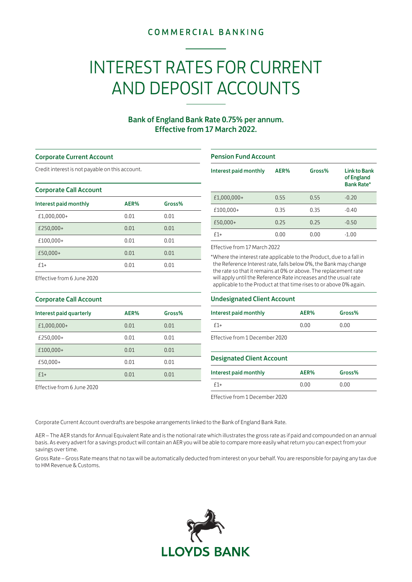## **COMMERCIAL BANKING**

# INTEREST RATES FOR CURRENT AND DEPOSIT ACCOUNTS

### Bank of England Bank Rate 0.75% per annum. Effective from 17 March 2022.

#### Corporate Current Account

Credit interest is not payable on this account.

#### Corporate Call Account

| Interest paid monthly | AER% | Gross% |
|-----------------------|------|--------|
| £1,000,000+           | 0.01 | 0.01   |
| £250,000+             | 0.01 | 0.01   |
| £100,000+             | 0.01 | 0.01   |
| £50,000+              | 0.01 | 0.01   |
| $f1+$                 | 0.01 | 0.01   |

#### Pension Fund Account

| Interest paid monthly | AER% | Gross% | <b>Link to Bank</b><br>of England<br><b>Bank Rate*</b> |
|-----------------------|------|--------|--------------------------------------------------------|
| £1,000,000+           | 0.55 | 0.55   | $-0.20$                                                |
| £100,000+             | 0.35 | 0.35   | $-0.40$                                                |
| £50,000+              | 0.25 | 0.25   | $-0.50$                                                |
| $f1+$                 | 0.00 | 0.00   | $-1.00$                                                |

#### Effective from 17 March 2022

\*Where the interest rate applicable to the Product, due to a fall in the Reference Interest rate, falls below 0%, the Bank may change the rate so that it remains at 0% or above. The replacement rate will apply until the Reference Rate increases and the usual rate applicable to the Product at that time rises to or above 0% again.

# Effective from 6 June 2020

| <b>Corporate Call Account</b> |      |        |  |
|-------------------------------|------|--------|--|
| Interest paid quarterly       | AER% | Gross% |  |
| £1,000,000+                   | 0.01 | 0.01   |  |
| £250,000+                     | 0.01 | 0.01   |  |
| £100,000+                     | 0.01 | 0.01   |  |
| £50,000+                      | 0.01 | 0.01   |  |
| $f1+$                         | 0.01 | 0.01   |  |

Effective from 6 June 2020

#### Undesignated Client Account

| Interest paid monthly          | AER% | Gross% |
|--------------------------------|------|--------|
| $f1+$                          | 0.00 | 0.00   |
| Effective from 1 December 2020 |      |        |

#### Designated Client Account

| Interest paid monthly | AER% | Gross% |
|-----------------------|------|--------|
| $f1+$                 | 0.00 | 0.00   |

Effective from 1 December 2020

Corporate Current Account overdrafts are bespoke arrangements linked to the Bank of England Bank Rate.

AER – The AER stands for Annual Equivalent Rate and is the notional rate which illustrates the gross rate as if paid and compounded on an annual basis. As every advert for a savings product will contain an AER you will be able to compare more easily what return you can expect from your savings over time.

Gross Rate – Gross Rate means that no tax will be automatically deducted from interest on your behalf. You are responsible for paying any tax due to HM Revenue & Customs.